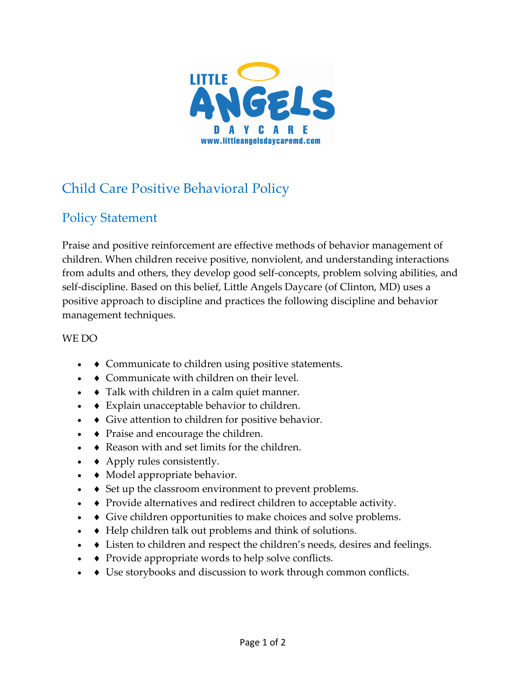

## Child Care Positive Behavioral Policy

## Policy Statement

Praise and positive reinforcement are effective methods of behavior management of children. When children receive positive, nonviolent, and understanding interactions from adults and others, they develop good self-concepts, problem solving abilities, and self-discipline. Based on this belief, Little Angels Daycare (of Clinton, MD) uses a positive approach to discipline and practices the following discipline and behavior management techniques.

## WE DO

- $\bullet$  Communicate to children using positive statements.
- $\bullet$  Communicate with children on their level.
- $\bullet$  Talk with children in a calm quiet manner.
- $\bullet$  Explain unacceptable behavior to children.
- $\bullet$  Give attention to children for positive behavior.
- $\bullet$  Praise and encourage the children.
- $\bullet$  Reason with and set limits for the children.
- $\triangle$  Apply rules consistently.
- $\bullet$  Model appropriate behavior.
- $\bullet$  Set up the classroom environment to prevent problems.
- $\bullet$  Provide alternatives and redirect children to acceptable activity.
- $\bullet$  Give children opportunities to make choices and solve problems.
- $\bullet\quad \bullet\quad$  Help children talk out problems and think of solutions.
- $\bullet\quad \bullet\quad$  Listen to children and respect the children's needs, desires and feelings.
- $\rightarrow$  Provide appropriate words to help solve conflicts.
- $\bullet$  Use storybooks and discussion to work through common conflicts.